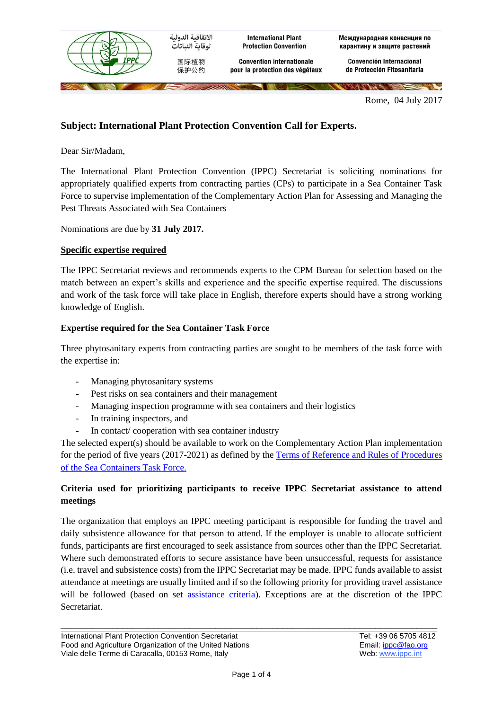

Rome, 04 July 2017

# **Subject: International Plant Protection Convention Call for Experts.**

Dear Sir/Madam,

The International Plant Protection Convention (IPPC) Secretariat is soliciting nominations for appropriately qualified experts from contracting parties (CPs) to participate in a Sea Container Task Force to supervise implementation of the Complementary Action Plan for Assessing and Managing the Pest Threats Associated with Sea Containers

Nominations are due by **31 July 2017.** 

### **Specific expertise required**

The IPPC Secretariat reviews and recommends experts to the CPM Bureau for selection based on the match between an expert's skills and experience and the specific expertise required. The discussions and work of the task force will take place in English, therefore experts should have a strong working knowledge of English.

### **Expertise required for the Sea Container Task Force**

Three phytosanitary experts from contracting parties are sought to be members of the task force with the expertise in:

- Managing phytosanitary systems
- Pest risks on sea containers and their management
- Managing inspection programme with sea containers and their logistics
- In training inspectors, and
- In contact/ cooperation with sea container industry

The selected expert(s) should be available to work on the Complementary Action Plan implementation for the period of five years (2017-2021) as defined by the Terms of [Reference and Rules of Procedures](https://www.ippc.int/en/publications/84513/)  [of the Sea Containers Task Force.](https://www.ippc.int/en/publications/84513/)

## **Criteria used for prioritizing participants to receive IPPC Secretariat assistance to attend meetings**

The organization that employs an IPPC meeting participant is responsible for funding the travel and daily subsistence allowance for that person to attend. If the employer is unable to allocate sufficient funds, participants are first encouraged to seek assistance from sources other than the IPPC Secretariat. Where such demonstrated efforts to secure assistance have been unsuccessful, requests for assistance (i.e. travel and subsistence costs) from the IPPC Secretariat may be made. IPPC funds available to assist attendance at meetings are usually limited and if so the following priority for providing travel assistance will be followed (based on set [assistance criteria\)](https://www.ippc.int/en/publications/1036/). Exceptions are at the discretion of the IPPC **Secretariat**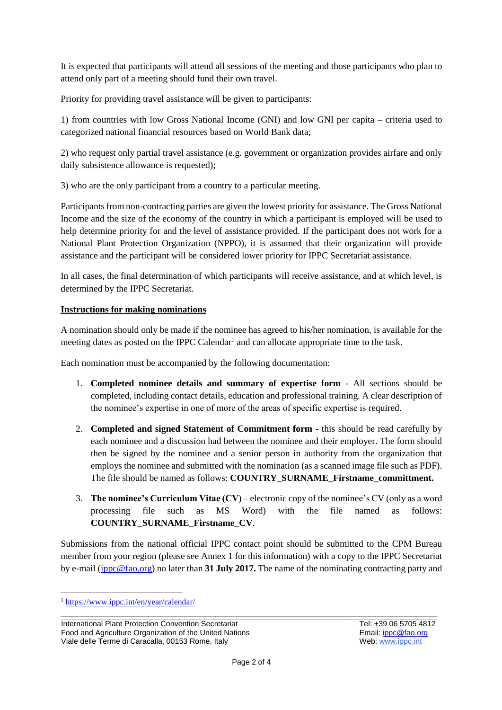It is expected that participants will attend all sessions of the meeting and those participants who plan to attend only part of a meeting should fund their own travel.

Priority for providing travel assistance will be given to participants:

1) from countries with low Gross National Income (GNI) and low GNI per capita – criteria used to categorized national financial resources based on World Bank data;

2) who request only partial travel assistance (e.g. government or organization provides airfare and only daily subsistence allowance is requested);

3) who are the only participant from a country to a particular meeting.

Participants from non-contracting parties are given the lowest priority for assistance. The Gross National Income and the size of the economy of the country in which a participant is employed will be used to help determine priority for and the level of assistance provided. If the participant does not work for a National Plant Protection Organization (NPPO), it is assumed that their organization will provide assistance and the participant will be considered lower priority for IPPC Secretariat assistance.

In all cases, the final determination of which participants will receive assistance, and at which level, is determined by the IPPC Secretariat.

## **Instructions for making nominations**

A nomination should only be made if the nominee has agreed to his/her nomination, is available for the meeting dates as posted on the IPPC Calendar<sup>1</sup> and can allocate appropriate time to the task.

Each nomination must be accompanied by the following documentation:

- 1. **Completed nominee details and summary of expertise form** All sections should be completed, including contact details, education and professional training. A clear description of the nominee's expertise in one of more of the areas of specific expertise is required.
- 2. **Completed and signed Statement of Commitment form** this should be read carefully by each nominee and a discussion had between the nominee and their employer. The form should then be signed by the nominee and a senior person in authority from the organization that employs the nominee and submitted with the nomination (as a scanned image file such as PDF). The file should be named as follows: **COUNTRY\_SURNAME\_Firstname\_committment.**
- 3. **The nominee's Curriculum Vitae (CV)** electronic copy of the nominee's CV (only as a word processing file such as MS Word) with the file named as follows: **COUNTRY\_SURNAME\_Firstname\_CV**.

Submissions from the national official IPPC contact point should be submitted to the CPM Bureau member from your region (please see Annex 1 for this information) with a copy to the IPPC Secretariat by e-mail [\(ippc@fao.org\)](mailto:ippc@fao.org) no later than **31 July 2017.** The name of the nominating contracting party and

-

<sup>1</sup> <https://www.ippc.int/en/year/calendar/>

International Plant Protection Convention Secretariat Food and Agriculture Organization of the United Nations Viale delle Terme di Caracalla, 00153 Rome, Italy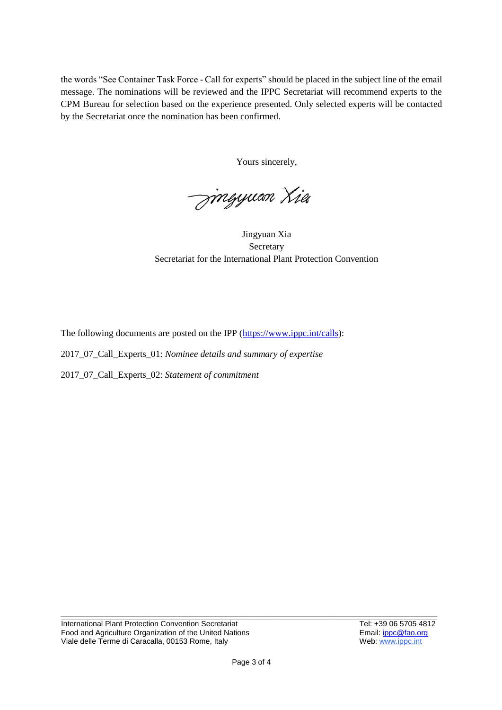the words "See Container Task Force - Call for experts" should be placed in the subject line of the email message. The nominations will be reviewed and the IPPC Secretariat will recommend experts to the CPM Bureau for selection based on the experience presented. Only selected experts will be contacted by the Secretariat once the nomination has been confirmed.

Yours sincerely,

<del>Jin</del>gyuan Xia

Jingyuan Xia Secretary Secretariat for the International Plant Protection Convention

The following documents are posted on the IPP [\(https://www.ippc.int/calls\)](https://www.ippc.int/calls):

2017\_07\_Call\_Experts\_01: *Nominee details and summary of expertise*

2017\_07\_Call\_Experts\_02: *Statement of commitment*